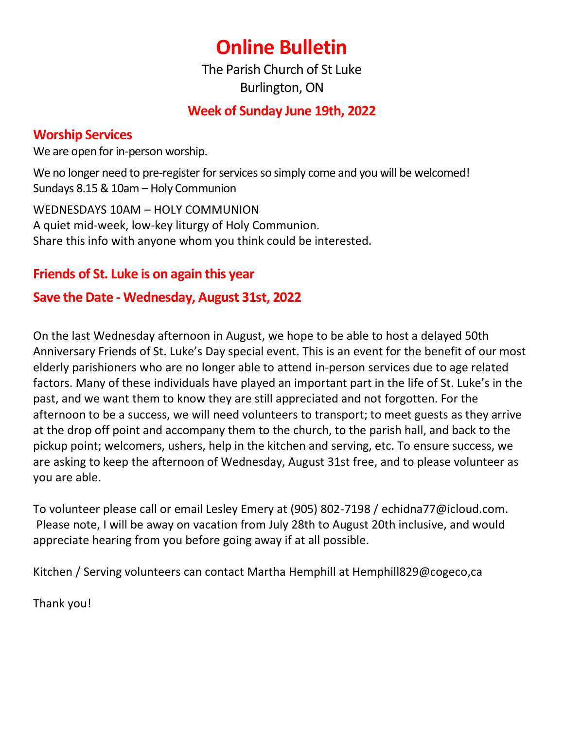# **Online Bulletin**

The Parish Church of St Luke Burlington, ON

# **Week of Sunday June 19th, 2022**

# **Worship Services**

We are open for in-person worship.

We no longer need to pre-register for services so simply come and you will be welcomed! Sundays 8.15 & 10am – Holy Communion

WEDNESDAYS 10AM – HOLY COMMUNION A quiet mid-week, low-key liturgy of Holy Communion. Share this info with anyone whom you think could be interested.

# **Friends of St. Luke is on again this year**

# **Save the Date - Wednesday, August 31st, 2022**

On the last Wednesday afternoon in August, we hope to be able to host a delayed 50th Anniversary Friends of St. Luke's Day special event. This is an event for the benefit of our most elderly parishioners who are no longer able to attend in-person services due to age related factors. Many of these individuals have played an important part in the life of St. Luke's in the past, and we want them to know they are still appreciated and not forgotten. For the afternoon to be a success, we will need volunteers to transport; to meet guests as they arrive at the drop off point and accompany them to the church, to the parish hall, and back to the pickup point; welcomers, ushers, help in the kitchen and serving, etc. To ensure success, we are asking to keep the afternoon of Wednesday, August 31st free, and to please volunteer as you are able.

To volunteer please call or email Lesley Emery at (905) 802-7198 / [echidna77@icloud.com.](mailto:echidna77@icloud.com) Please note, I will be away on vacation from July 28th to August 20th inclusive, and would appreciate hearing from you before going away if at all possible.

Kitchen / Serving volunteers can contact Martha Hemphill at Hemphill829@cogeco,ca

Thank you!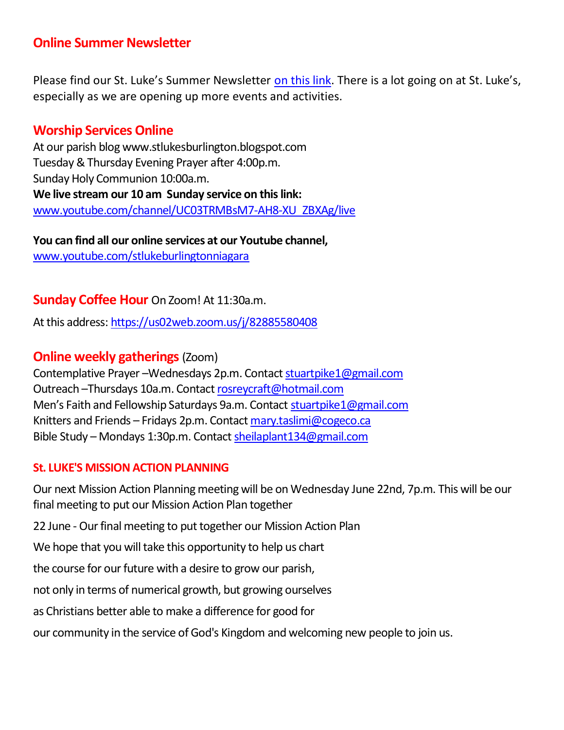# **Online Summer Newsletter**

Please find our St. Luke's Summer Newsletter [on this link](https://stlukesburlington.ca/wp-content/uploads/2022/05/News-and-Views-Summer-2022-version-3-std.pdf). There is a lot going on at St. Luke's, especially as we are opening up more events and activities.

# **Worship Services Online**

At our parish blog www.stlukesburlington.blogspot.com Tuesday & Thursday Evening Prayer after 4:00p.m. Sunday Holy Communion 10:00a.m. **We live stream our 10 am Sunday service on this link:** [www.youtube.com/channel/UC03TRMBsM7-AH8-XU\\_ZBXAg/live](http://www.youtube.com/channel/UC03TRMBsM7-AH8-XU_ZBXAg/live)

**You can find all our online services at our Youtube channel,** [www.youtube.com/stlukeburlingtonniagara](http://www.youtube.com/stlukeburlingtonniagara)

## **Sunday Coffee Hour** On Zoom! At 11:30a.m.

At this address:<https://us02web.zoom.us/j/82885580408>

## **Online weekly gatherings** (Zoom)

Contemplative Prayer –Wednesdays 2p.m. Contact [stuartpike1@gmail.com](mailto:stuartpike1@gmail.com) Outreach –Thursdays 10a.m. Contact [rosreycraft@hotmail.com](mailto:rosreycraft@hotmail.com) Men's Faith and Fellowship Saturdays 9a.m. Contact [stuartpike1@gmail.com](mailto:stuartpike1@gmail.com) Knitters and Friends – Fridays 2p.m. Contact [mary.taslimi@cogeco.ca](mailto:mary.taslimi@cogeco.ca) Bible Study – Mondays 1:30p.m. Contact [sheilaplant134@gmail.com](mailto:sheilaplant134@gmail.com)

#### **St. LUKE'S MISSION ACTION PLANNING**

Our next Mission Action Planning meeting will be on Wednesday June 22nd, 7p.m. This will be our final meeting to put our Mission Action Plan together

22 June - Our final meeting to put together our Mission Action Plan

We hope that you will take this opportunity to help us chart

the course for our future with a desire to grow our parish,

not only in terms of numerical growth, but growing ourselves

as Christians better able to make a difference for good for

our community in the service of God's Kingdom and welcoming new people to join us.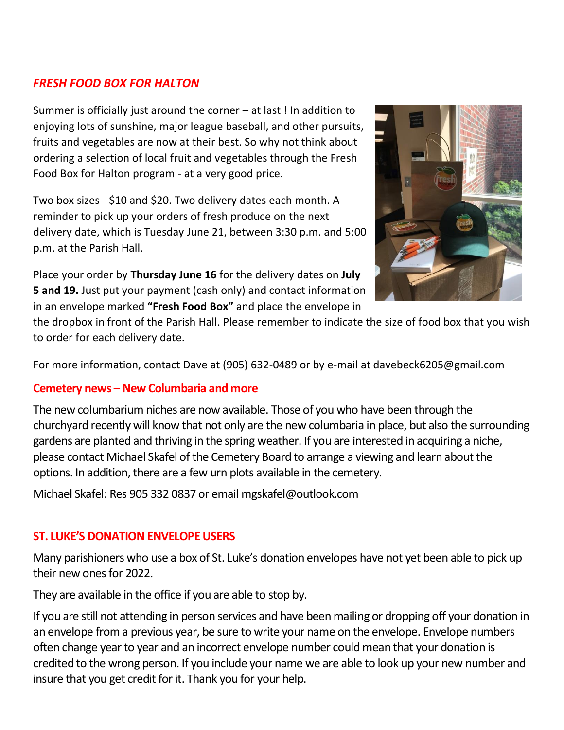## *FRESH FOOD BOX FOR HALTON*

Summer is officially just around the corner – at last ! In addition to enjoying lots of sunshine, major league baseball, and other pursuits, fruits and vegetables are now at their best. So why not think about ordering a selection of local fruit and vegetables through the Fresh Food Box for Halton program - at a very good price.

Two box sizes - \$10 and \$20. Two delivery dates each month. A reminder to pick up your orders of fresh produce on the next delivery date, which is Tuesday June 21, between 3:30 p.m. and 5:00 p.m. at the Parish Hall.

Place your order by **Thursday June 16** for the delivery dates on **July 5 and 19.** Just put your payment (cash only) and contact information in an envelope marked **"Fresh Food Box"** and place the envelope in



the dropbox in front of the Parish Hall. Please remember to indicate the size of food box that you wish to order for each delivery date.

For more information, contact Dave at (905) 632-0489 or by e-mail at davebeck6205@gmail.com

#### **Cemetery news –New Columbaria and more**

The new columbarium niches are now available. Those of you who have been through the churchyard recently will know that not only are the new columbaria in place, but also the surrounding gardens are planted and thriving in the spring weather. If you are interested in acquiring a niche, please contact Michael Skafel of the Cemetery Board to arrange a viewing and learn about the options. In addition, there are a few urn plots available in the cemetery.

Michael Skafel: Res 905 332 0837 or email [mgskafel@outlook.com](mailto:mgskafel@outlook.com)

#### **ST. LUKE'S DONATION ENVELOPE USERS**

Many parishioners who use a box of St. Luke's donation envelopes have not yet been able to pick up their new ones for 2022.

They are available in the office if you are able to stop by.

If you are still not attending in person services and have been mailing or dropping off your donation in an envelope from a previous year, be sure to write your name on the envelope. Envelope numbers often change year to year and an incorrect envelope number could mean that your donation is credited to the wrong person. If you include your name we are able to look up your new number and insure that you get credit for it. Thank you for your help.